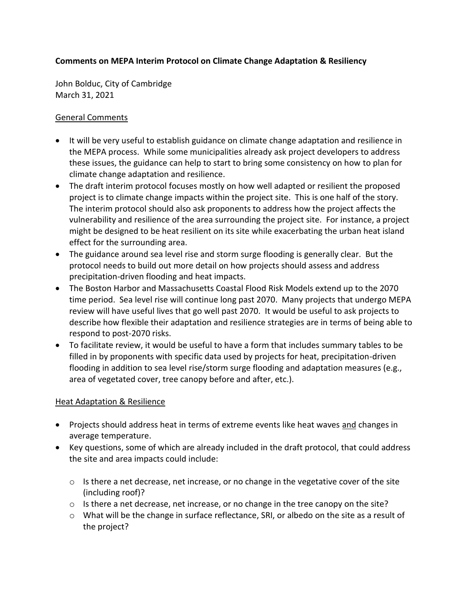### **Comments on MEPA Interim Protocol on Climate Change Adaptation & Resiliency**

John Bolduc, City of Cambridge March 31, 2021

#### General Comments

- It will be very useful to establish guidance on climate change adaptation and resilience in the MEPA process. While some municipalities already ask project developers to address these issues, the guidance can help to start to bring some consistency on how to plan for climate change adaptation and resilience.
- The draft interim protocol focuses mostly on how well adapted or resilient the proposed project is to climate change impacts within the project site. This is one half of the story. The interim protocol should also ask proponents to address how the project affects the vulnerability and resilience of the area surrounding the project site. For instance, a project might be designed to be heat resilient on its site while exacerbating the urban heat island effect for the surrounding area.
- The guidance around sea level rise and storm surge flooding is generally clear. But the protocol needs to build out more detail on how projects should assess and address precipitation-driven flooding and heat impacts.
- The Boston Harbor and Massachusetts Coastal Flood Risk Models extend up to the 2070 time period. Sea level rise will continue long past 2070. Many projects that undergo MEPA review will have useful lives that go well past 2070. It would be useful to ask projects to describe how flexible their adaptation and resilience strategies are in terms of being able to respond to post-2070 risks.
- To facilitate review, it would be useful to have a form that includes summary tables to be filled in by proponents with specific data used by projects for heat, precipitation-driven flooding in addition to sea level rise/storm surge flooding and adaptation measures (e.g., area of vegetated cover, tree canopy before and after, etc.).

### **Heat Adaptation & Resilience**

- Projects should address heat in terms of extreme events like heat waves and changes in average temperature.
- Key questions, some of which are already included in the draft protocol, that could address the site and area impacts could include:
	- o Is there a net decrease, net increase, or no change in the vegetative cover of the site (including roof)?
	- $\circ$  Is there a net decrease, net increase, or no change in the tree canopy on the site?
	- o What will be the change in surface reflectance, SRI, or albedo on the site as a result of the project?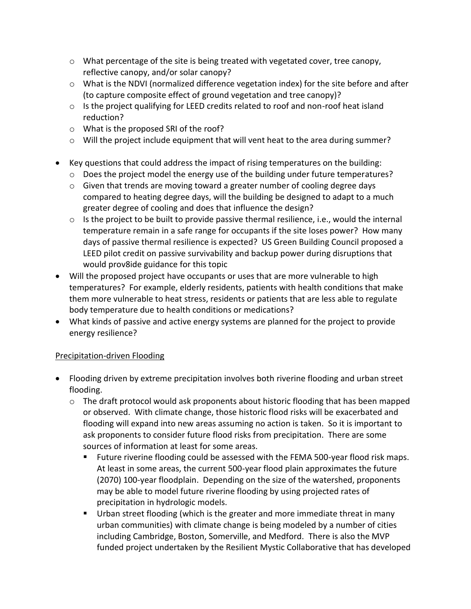- $\circ$  What percentage of the site is being treated with vegetated cover, tree canopy, reflective canopy, and/or solar canopy?
- $\circ$  What is the NDVI (normalized difference vegetation index) for the site before and after (to capture composite effect of ground vegetation and tree canopy)?
- $\circ$  Is the project qualifying for LEED credits related to roof and non-roof heat island reduction?
- o What is the proposed SRI of the roof?
- $\circ$  Will the project include equipment that will vent heat to the area during summer?
- Key questions that could address the impact of rising temperatures on the building:
	- $\circ$  Does the project model the energy use of the building under future temperatures?
	- o Given that trends are moving toward a greater number of cooling degree days compared to heating degree days, will the building be designed to adapt to a much greater degree of cooling and does that influence the design?
	- o Is the project to be built to provide passive thermal resilience, i.e., would the internal temperature remain in a safe range for occupants if the site loses power? How many days of passive thermal resilience is expected? US Green Building Council proposed a LEED pilot credit on passive survivability and backup power during disruptions that would prov8ide guidance for this topic
- Will the proposed project have occupants or uses that are more vulnerable to high temperatures? For example, elderly residents, patients with health conditions that make them more vulnerable to heat stress, residents or patients that are less able to regulate body temperature due to health conditions or medications?
- What kinds of passive and active energy systems are planned for the project to provide energy resilience?

# Precipitation-driven Flooding

- Flooding driven by extreme precipitation involves both riverine flooding and urban street flooding.
	- o The draft protocol would ask proponents about historic flooding that has been mapped or observed. With climate change, those historic flood risks will be exacerbated and flooding will expand into new areas assuming no action is taken. So it is important to ask proponents to consider future flood risks from precipitation. There are some sources of information at least for some areas.
		- Future riverine flooding could be assessed with the FEMA 500-year flood risk maps. At least in some areas, the current 500-year flood plain approximates the future (2070) 100-year floodplain. Depending on the size of the watershed, proponents may be able to model future riverine flooding by using projected rates of precipitation in hydrologic models.
		- Urban street flooding (which is the greater and more immediate threat in many urban communities) with climate change is being modeled by a number of cities including Cambridge, Boston, Somerville, and Medford. There is also the MVP funded project undertaken by the Resilient Mystic Collaborative that has developed